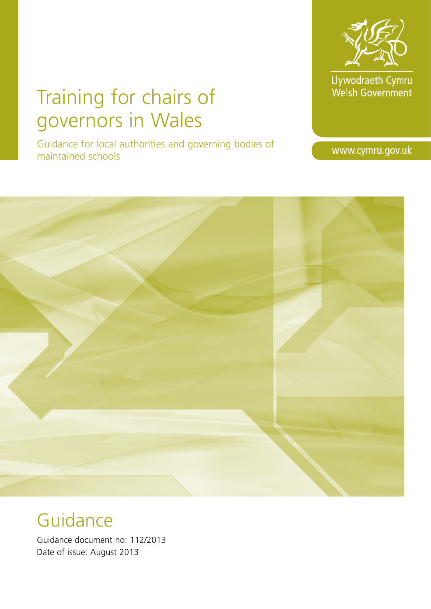

Llywodraeth Cymru<br>Welsh Government

# Training for chairs of governors in Wales

Guidance for local authorities and governing bodies of maintained schools

www.cymru.gov.uk



# **Guidance**

Guidance document no: 112/2013 Date of issue: August 2013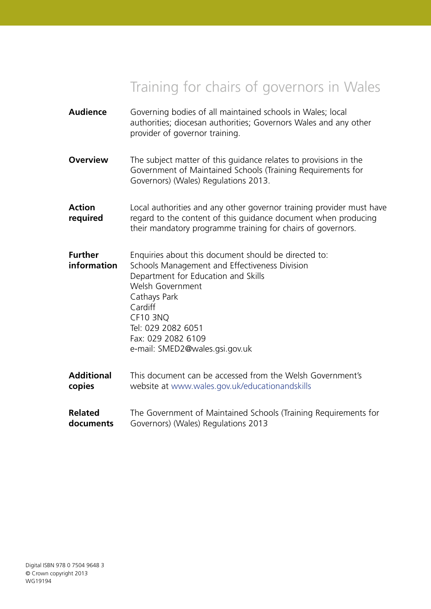# Training for chairs of governors in Wales

| <b>Audience</b>               | Governing bodies of all maintained schools in Wales; local<br>authorities; diocesan authorities; Governors Wales and any other<br>provider of governor training.                                                                                                                             |
|-------------------------------|----------------------------------------------------------------------------------------------------------------------------------------------------------------------------------------------------------------------------------------------------------------------------------------------|
| <b>Overview</b>               | The subject matter of this guidance relates to provisions in the<br>Government of Maintained Schools (Training Requirements for<br>Governors) (Wales) Regulations 2013.                                                                                                                      |
| <b>Action</b><br>required     | Local authorities and any other governor training provider must have<br>regard to the content of this guidance document when producing<br>their mandatory programme training for chairs of governors.                                                                                        |
| <b>Further</b><br>information | Enquiries about this document should be directed to:<br>Schools Management and Effectiveness Division<br>Department for Education and Skills<br>Welsh Government<br>Cathays Park<br>Cardiff<br><b>CF10 3NQ</b><br>Tel: 029 2082 6051<br>Fax: 029 2082 6109<br>e-mail: SMED2@wales.gsi.gov.uk |
| <b>Additional</b><br>copies   | This document can be accessed from the Welsh Government's<br>website at www.wales.gov.uk/educationandskills                                                                                                                                                                                  |
| <b>Related</b><br>documents   | The Government of Maintained Schools (Training Requirements for<br>Governors) (Wales) Regulations 2013                                                                                                                                                                                       |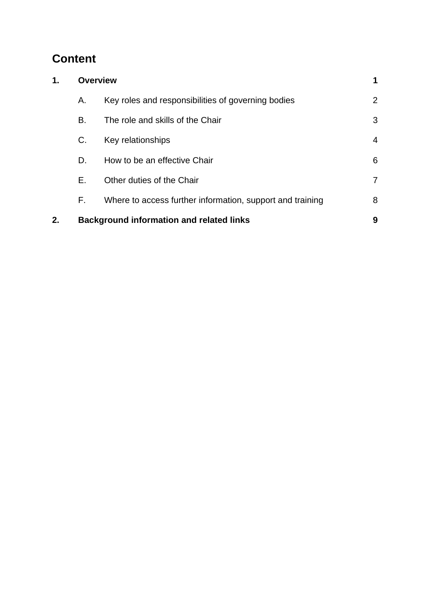# **Content**

| 1. | <b>Overview</b> |                                                           |                |
|----|-----------------|-----------------------------------------------------------|----------------|
|    | Α.              | Key roles and responsibilities of governing bodies        | 2              |
|    | В.              | The role and skills of the Chair                          | 3              |
|    | C.              | Key relationships                                         | 4              |
|    | D.              | How to be an effective Chair                              | 6              |
|    | Е.              | Other duties of the Chair                                 | $\overline{7}$ |
|    | F.              | Where to access further information, support and training | 8              |
| 2. |                 | <b>Background information and related links</b>           | 9              |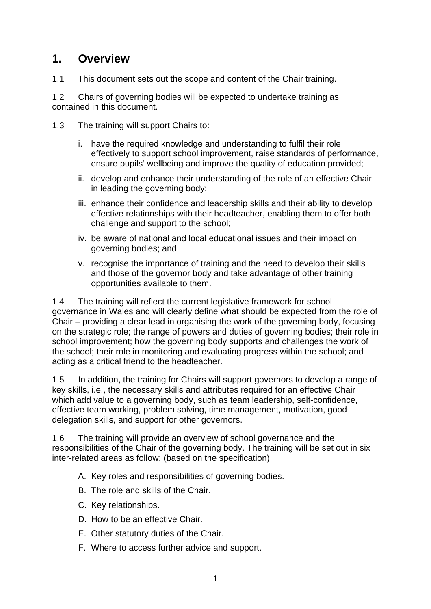# **1. Overview**

1.1 This document sets out the scope and content of the Chair training.

1.2 Chairs of governing bodies will be expected to undertake training as contained in this document.

- 1.3 The training will support Chairs to:
	- i. have the required knowledge and understanding to fulfil their role effectively to support school improvement, raise standards of performance, ensure pupils' wellbeing and improve the quality of education provided;
	- ii. develop and enhance their understanding of the role of an effective Chair in leading the governing body;
	- iii. enhance their confidence and leadership skills and their ability to develop effective relationships with their headteacher, enabling them to offer both challenge and support to the school;
	- iv. be aware of national and local educational issues and their impact on governing bodies; and
	- v. recognise the importance of training and the need to develop their skills and those of the governor body and take advantage of other training opportunities available to them.

1.4 The training will reflect the current legislative framework for school governance in Wales and will clearly define what should be expected from the role of Chair – providing a clear lead in organising the work of the governing body, focusing on the strategic role; the range of powers and duties of governing bodies; their role in school improvement; how the governing body supports and challenges the work of the school; their role in monitoring and evaluating progress within the school; and acting as a critical friend to the headteacher.

1.5 In addition, the training for Chairs will support governors to develop a range of key skills, i.e., the necessary skills and attributes required for an effective Chair which add value to a governing body, such as team leadership, self-confidence, effective team working, problem solving, time management, motivation, good delegation skills, and support for other governors.

1.6 The training will provide an overview of school governance and the responsibilities of the Chair of the governing body. The training will be set out in six inter-related areas as follow: (based on the specification)

- A. Key roles and responsibilities of governing bodies.
- B. The role and skills of the Chair.
- C. Key relationships.
- D. How to be an effective Chair.
- E. Other statutory duties of the Chair.
- F. Where to access further advice and support.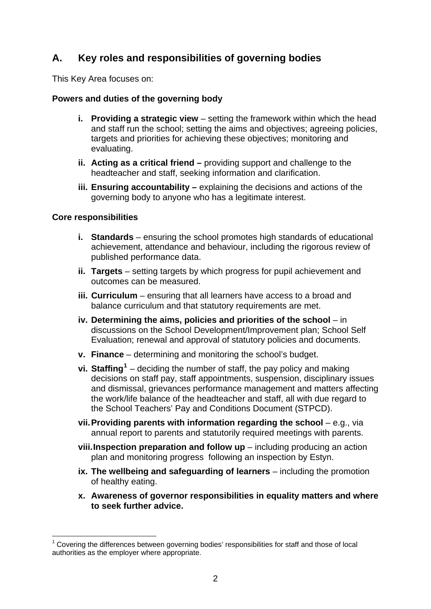# **A. Key roles and responsibilities of governing bodies**

This Key Area focuses on:

#### **Powers and duties of the governing body**

- **i.** Providing a strategic view setting the framework within which the head and staff run the school; setting the aims and objectives; agreeing policies, targets and priorities for achieving these objectives; monitoring and evaluating.
- **ii. Acting as a critical friend** providing support and challenge to the headteacher and staff, seeking information and clarification.
- **iii. Ensuring accountability –** explaining the decisions and actions of the governing body to anyone who has a legitimate interest.

#### **Core responsibilities**

- **i. Standards** ensuring the school promotes high standards of educational achievement, attendance and behaviour, including the rigorous review of published performance data.
- **ii. Targets** setting targets by which progress for pupil achievement and outcomes can be measured.
- **iii. Curriculum**  ensuring that all learners have access to a broad and balance curriculum and that statutory requirements are met.
- **iv. Determining the aims, policies and priorities of the school** in discussions on the School Development/Improvement plan; School Self Evaluation; renewal and approval of statutory policies and documents.
- **v. Finance** determining and monitoring the school's budget.
- **vi. Staffing[1](#page-4-0)** deciding the number of staff, the pay policy and making decisions on staff pay, staff appointments, suspension, disciplinary issues and dismissal, grievances performance management and matters affecting the work/life balance of the headteacher and staff, all with due regard to the School Teachers' Pay and Conditions Document (STPCD).
- **vii. Providing parents with information regarding the school** e.g., via annual report to parents and statutorily required meetings with parents.
- **viii.Inspection preparation and follow up** including producing an action plan and monitoring progress following an inspection by Estyn.
- **ix. The wellbeing and safeguarding of learners** including the promotion of healthy eating.
- **x. Awareness of governor responsibilities in equality matters and where to seek further advice.**

<span id="page-4-0"></span><sup>&</sup>lt;u>.</u>  $1$  Covering the differences between governing bodies' responsibilities for staff and those of local authorities as the employer where appropriate.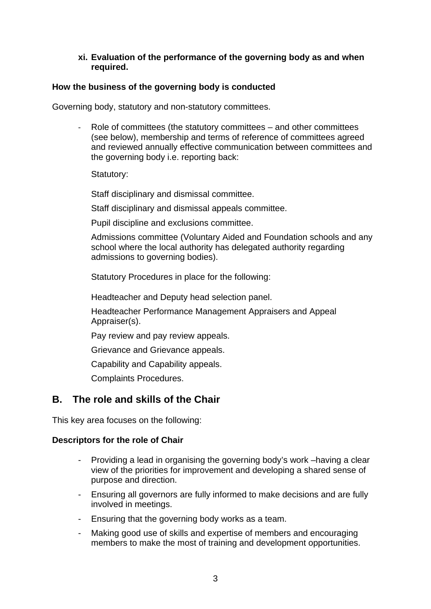#### **xi. Evaluation of the performance of the governing body as and when required.**

#### **How the business of the governing body is conducted**

Governing body, statutory and non-statutory committees.

Role of committees (the statutory committees – and other committees (see below), membership and terms of reference of committees agreed and reviewed annually effective communication between committees and the governing body i.e. reporting back:

Statutory:

Staff disciplinary and dismissal committee.

Staff disciplinary and dismissal appeals committee.

Pupil discipline and exclusions committee.

Admissions committee (Voluntary Aided and Foundation schools and any school where the local authority has delegated authority regarding admissions to governing bodies).

Statutory Procedures in place for the following:

Headteacher and Deputy head selection panel.

 Headteacher Performance Management Appraisers and Appeal Appraiser(s).

Pay review and pay review appeals.

Grievance and Grievance appeals.

Capability and Capability appeals.

Complaints Procedures.

## **B. The role and skills of the Chair**

This key area focuses on the following:

#### **Descriptors for the role of Chair**

- Providing a lead in organising the governing body's work –having a clear view of the priorities for improvement and developing a shared sense of purpose and direction.
- Ensuring all governors are fully informed to make decisions and are fully involved in meetings.
- Ensuring that the governing body works as a team.
- Making good use of skills and expertise of members and encouraging members to make the most of training and development opportunities.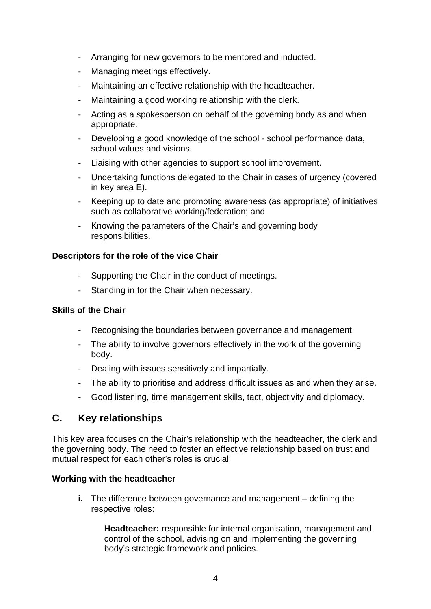- Arranging for new governors to be mentored and inducted.
- Managing meetings effectively.
- Maintaining an effective relationship with the headteacher.
- Maintaining a good working relationship with the clerk.
- Acting as a spokesperson on behalf of the governing body as and when appropriate.
- Developing a good knowledge of the school school performance data, school values and visions.
- Liaising with other agencies to support school improvement.
- Undertaking functions delegated to the Chair in cases of urgency (covered in key area E).
- Keeping up to date and promoting awareness (as appropriate) of initiatives such as collaborative working/federation; and
- Knowing the parameters of the Chair's and governing body responsibilities.

#### **Descriptors for the role of the vice Chair**

- Supporting the Chair in the conduct of meetings.
- Standing in for the Chair when necessary.

#### **Skills of the Chair**

- Recognising the boundaries between governance and management.
- The ability to involve governors effectively in the work of the governing body.
- Dealing with issues sensitively and impartially.
- The ability to prioritise and address difficult issues as and when they arise.
- Good listening, time management skills, tact, objectivity and diplomacy.

## **C. Key relationships**

This key area focuses on the Chair's relationship with the headteacher, the clerk and the governing body. The need to foster an effective relationship based on trust and mutual respect for each other's roles is crucial:

#### **Working with the headteacher**

**i.** The difference between governance and management – defining the respective roles:

**Headteacher:** responsible for internal organisation, management and control of the school, advising on and implementing the governing body's strategic framework and policies.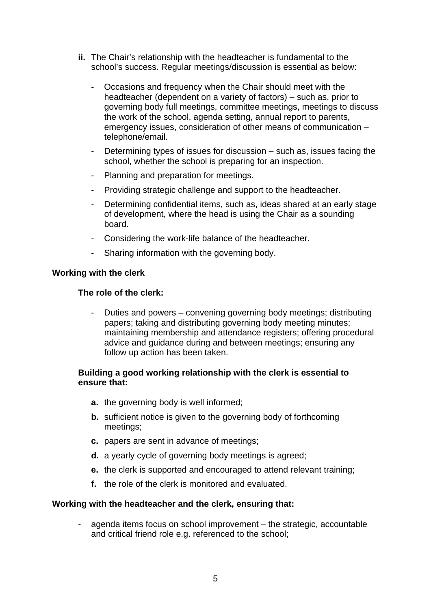- **ii.** The Chair's relationship with the headteacher is fundamental to the school's success. Regular meetings/discussion is essential as below:
	- Occasions and frequency when the Chair should meet with the headteacher (dependent on a variety of factors) – such as, prior to governing body full meetings, committee meetings, meetings to discuss the work of the school, agenda setting, annual report to parents, emergency issues, consideration of other means of communication – telephone/email.
	- Determining types of issues for discussion such as, issues facing the school, whether the school is preparing for an inspection.
	- Planning and preparation for meetings.
	- Providing strategic challenge and support to the headteacher.
	- Determining confidential items, such as, ideas shared at an early stage of development, where the head is using the Chair as a sounding board.
	- Considering the work-life balance of the headteacher.
	- Sharing information with the governing body.

#### **Working with the clerk**

#### **The role of the clerk:**

Duties and powers – convening governing body meetings; distributing papers; taking and distributing governing body meeting minutes; maintaining membership and attendance registers; offering procedural advice and guidance during and between meetings; ensuring any follow up action has been taken.

#### **Building a good working relationship with the clerk is essential to ensure that:**

- **a.** the governing body is well informed;
- **b.** sufficient notice is given to the governing body of forthcoming meetings;
- **c.** papers are sent in advance of meetings;
- **d.** a yearly cycle of governing body meetings is agreed;
- **e.** the clerk is supported and encouraged to attend relevant training;
- **f.** the role of the clerk is monitored and evaluated.

#### **Working with the headteacher and the clerk, ensuring that:**

agenda items focus on school improvement – the strategic, accountable and critical friend role e.g. referenced to the school;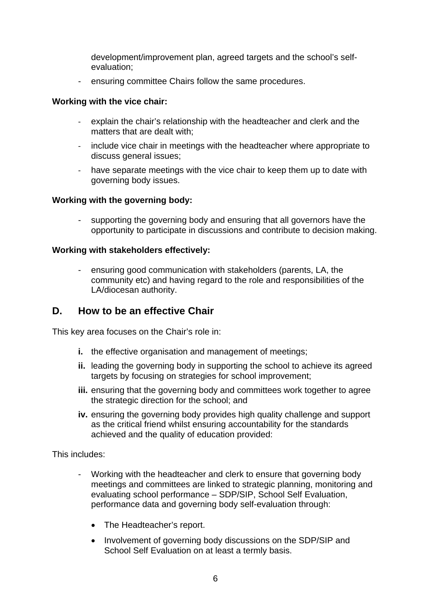development/improvement plan, agreed targets and the school's selfevaluation;

ensuring committee Chairs follow the same procedures.

#### **Working with the vice chair:**

- ‐ explain the chair's relationship with the headteacher and clerk and the matters that are dealt with;
- ‐ include vice chair in meetings with the headteacher where appropriate to discuss general issues;
- have separate meetings with the vice chair to keep them up to date with governing body issues.

#### **Working with the governing body:**

- supporting the governing body and ensuring that all governors have the opportunity to participate in discussions and contribute to decision making.

#### **Working with stakeholders effectively:**

- ensuring good communication with stakeholders (parents, LA, the community etc) and having regard to the role and responsibilities of the LA/diocesan authority.

## **D. How to be an effective Chair**

This key area focuses on the Chair's role in:

- **i.** the effective organisation and management of meetings;
- **ii.** leading the governing body in supporting the school to achieve its agreed targets by focusing on strategies for school improvement;
- **iii.** ensuring that the governing body and committees work together to agree the strategic direction for the school; and
- **iv.** ensuring the governing body provides high quality challenge and support as the critical friend whilst ensuring accountability for the standards achieved and the quality of education provided:

This includes:

- Working with the headteacher and clerk to ensure that governing body meetings and committees are linked to strategic planning, monitoring and evaluating school performance – SDP/SIP, School Self Evaluation, performance data and governing body self-evaluation through:
	- The Headteacher's report.
	- Involvement of governing body discussions on the SDP/SIP and School Self Evaluation on at least a termly basis.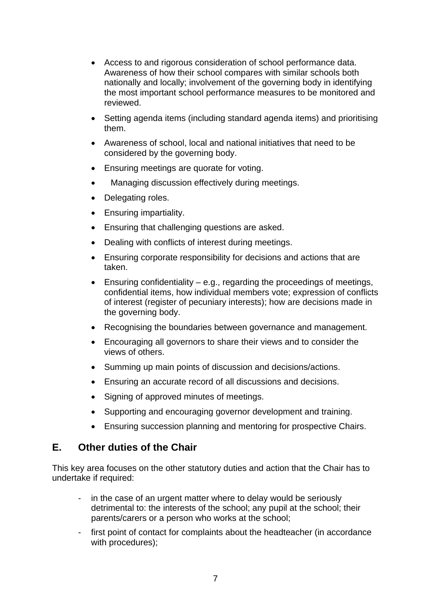- Access to and rigorous consideration of school performance data. Awareness of how their school compares with similar schools both nationally and locally; involvement of the governing body in identifying the most important school performance measures to be monitored and reviewed.
- Setting agenda items (including standard agenda items) and prioritising them.
- Awareness of school, local and national initiatives that need to be considered by the governing body.
- Ensuring meetings are quorate for voting.
- Managing discussion effectively during meetings.
- Delegating roles.
- Ensuring impartiality.
- Ensuring that challenging questions are asked.
- Dealing with conflicts of interest during meetings.
- Ensuring corporate responsibility for decisions and actions that are taken.
- **Ensuring confidentiality e.g., regarding the proceedings of meetings,** confidential items, how individual members vote; expression of conflicts of interest (register of pecuniary interests); how are decisions made in the governing body.
- Recognising the boundaries between governance and management.
- Encouraging all governors to share their views and to consider the views of others.
- Summing up main points of discussion and decisions/actions.
- Ensuring an accurate record of all discussions and decisions.
- Signing of approved minutes of meetings.
- Supporting and encouraging governor development and training.
- Ensuring succession planning and mentoring for prospective Chairs.

## **E. Other duties of the Chair**

This key area focuses on the other statutory duties and action that the Chair has to undertake if required:

- in the case of an urgent matter where to delay would be seriously detrimental to: the interests of the school; any pupil at the school; their parents/carers or a person who works at the school;
- first point of contact for complaints about the headteacher (in accordance with procedures);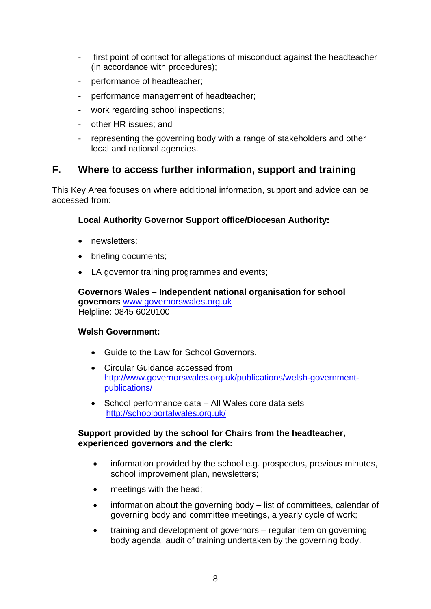- first point of contact for allegations of misconduct against the headteacher (in accordance with procedures);
- performance of headteacher;
- performance management of headteacher;
- work regarding school inspections:
- other HR issues; and
- representing the governing body with a range of stakeholders and other local and national agencies.

## **F. Where to access further information, support and training**

This Key Area focuses on where additional information, support and advice can be accessed from:

### **Local Authority Governor Support office/Diocesan Authority:**

- newsletters:
- briefing documents;
- LA governor training programmes and events;

**Governors Wales – Independent national organisation for school governors** [www.governorswales.org.uk](http://www.governorswales.org.uk/) Helpline: 0845 6020100

#### **Welsh Government:**

- Guide to the Law for School Governors.
- Circular Guidance accessed from [http://www.governorswales.org.uk/publications/welsh-government](http://www.governorswales.org.uk/publications/welsh-government-publications/)[publications/](http://www.governorswales.org.uk/publications/welsh-government-publications/)
- School performance data All Wales core data sets <http://schoolportalwales.org.uk/>

#### **Support provided by the school for Chairs from the headteacher, experienced governors and the clerk:**

- information provided by the school e.g. prospectus, previous minutes, school improvement plan, newsletters;
- meetings with the head;
- information about the governing body list of committees, calendar of governing body and committee meetings, a yearly cycle of work;
- training and development of governors regular item on governing body agenda, audit of training undertaken by the governing body.